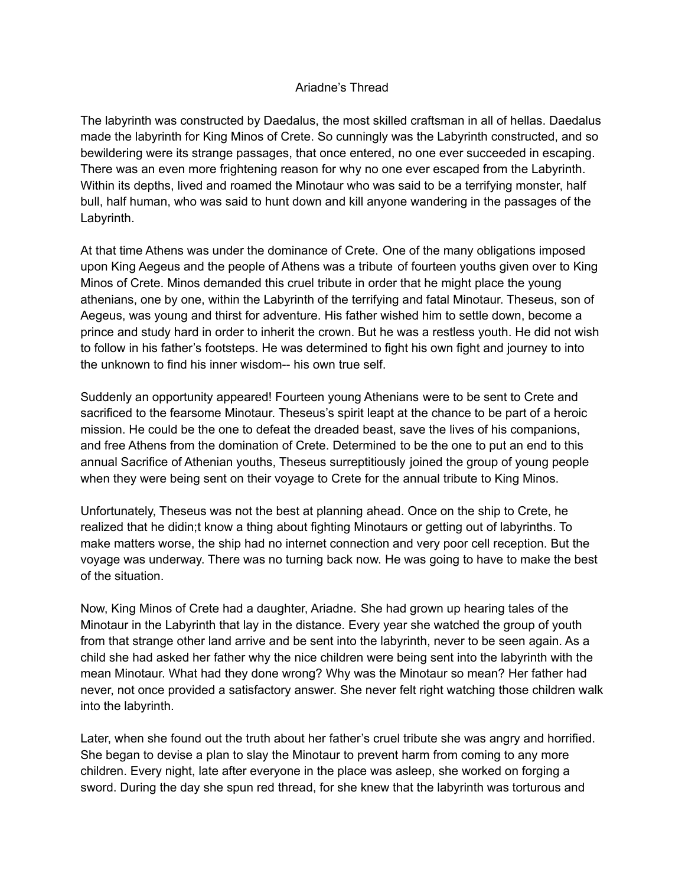## Ariadne's Thread

The labyrinth was constructed by Daedalus, the most skilled craftsman in all of hellas. Daedalus made the labyrinth for King Minos of Crete. So cunningly was the Labyrinth constructed, and so bewildering were its strange passages, that once entered, no one ever succeeded in escaping. There was an even more frightening reason for why no one ever escaped from the Labyrinth. Within its depths, lived and roamed the Minotaur who was said to be a terrifying monster, half bull, half human, who was said to hunt down and kill anyone wandering in the passages of the Labyrinth.

At that time Athens was under the dominance of Crete. One of the many obligations imposed upon King Aegeus and the people of Athens was a tribute of fourteen youths given over to King Minos of Crete. Minos demanded this cruel tribute in order that he might place the young athenians, one by one, within the Labyrinth of the terrifying and fatal Minotaur. Theseus, son of Aegeus, was young and thirst for adventure. His father wished him to settle down, become a prince and study hard in order to inherit the crown. But he was a restless youth. He did not wish to follow in his father's footsteps. He was determined to fight his own fight and journey to into the unknown to find his inner wisdom-- his own true self.

Suddenly an opportunity appeared! Fourteen young Athenians were to be sent to Crete and sacrificed to the fearsome Minotaur. Theseus's spirit leapt at the chance to be part of a heroic mission. He could be the one to defeat the dreaded beast, save the lives of his companions, and free Athens from the domination of Crete. Determined to be the one to put an end to this annual Sacrifice of Athenian youths, Theseus surreptitiously joined the group of young people when they were being sent on their voyage to Crete for the annual tribute to King Minos.

Unfortunately, Theseus was not the best at planning ahead. Once on the ship to Crete, he realized that he didin;t know a thing about fighting Minotaurs or getting out of labyrinths. To make matters worse, the ship had no internet connection and very poor cell reception. But the voyage was underway. There was no turning back now. He was going to have to make the best of the situation.

Now, King Minos of Crete had a daughter, Ariadne. She had grown up hearing tales of the Minotaur in the Labyrinth that lay in the distance. Every year she watched the group of youth from that strange other land arrive and be sent into the labyrinth, never to be seen again. As a child she had asked her father why the nice children were being sent into the labyrinth with the mean Minotaur. What had they done wrong? Why was the Minotaur so mean? Her father had never, not once provided a satisfactory answer. She never felt right watching those children walk into the labyrinth.

Later, when she found out the truth about her father's cruel tribute she was angry and horrified. She began to devise a plan to slay the Minotaur to prevent harm from coming to any more children. Every night, late after everyone in the place was asleep, she worked on forging a sword. During the day she spun red thread, for she knew that the labyrinth was torturous and